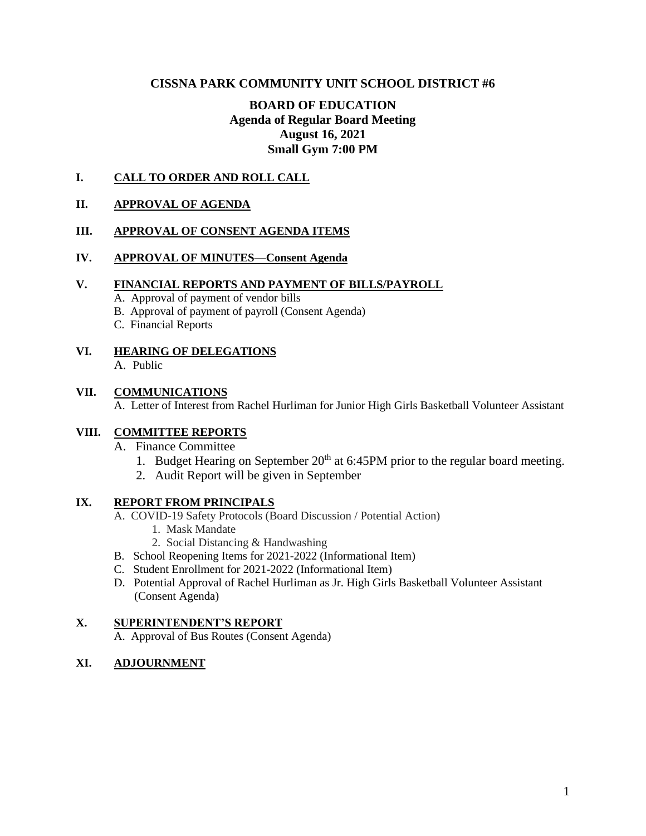## **CISSNA PARK COMMUNITY UNIT SCHOOL DISTRICT #6**

# **BOARD OF EDUCATION Agenda of Regular Board Meeting August 16, 2021 Small Gym 7:00 PM**

### **I. CALL TO ORDER AND ROLL CALL**

### **II. APPROVAL OF AGENDA**

### **III. APPROVAL OF CONSENT AGENDA ITEMS**

### **IV. APPROVAL OF MINUTES—Consent Agenda**

#### **V. FINANCIAL REPORTS AND PAYMENT OF BILLS/PAYROLL**

- A. Approval of payment of vendor bills
- B. Approval of payment of payroll (Consent Agenda)
- C. Financial Reports
- **VI. HEARING OF DELEGATIONS**
	- A. Public

#### **VII. COMMUNICATIONS**

A. Letter of Interest from Rachel Hurliman for Junior High Girls Basketball Volunteer Assistant

### **VIII. COMMITTEE REPORTS**

- A. Finance Committee
	- 1. Budget Hearing on September  $20<sup>th</sup>$  at 6:45PM prior to the regular board meeting.
	- 2. Audit Report will be given in September

### **IX. REPORT FROM PRINCIPALS**

- A. COVID-19 Safety Protocols (Board Discussion / Potential Action)
	- 1. Mask Mandate
	- 2. Social Distancing & Handwashing
- B. School Reopening Items for 2021-2022 (Informational Item)
- C. Student Enrollment for 2021-2022 (Informational Item)
- D. Potential Approval of Rachel Hurliman as Jr. High Girls Basketball Volunteer Assistant (Consent Agenda)

#### **X. SUPERINTENDENT'S REPORT**

A. Approval of Bus Routes (Consent Agenda)

### **XI. ADJOURNMENT**